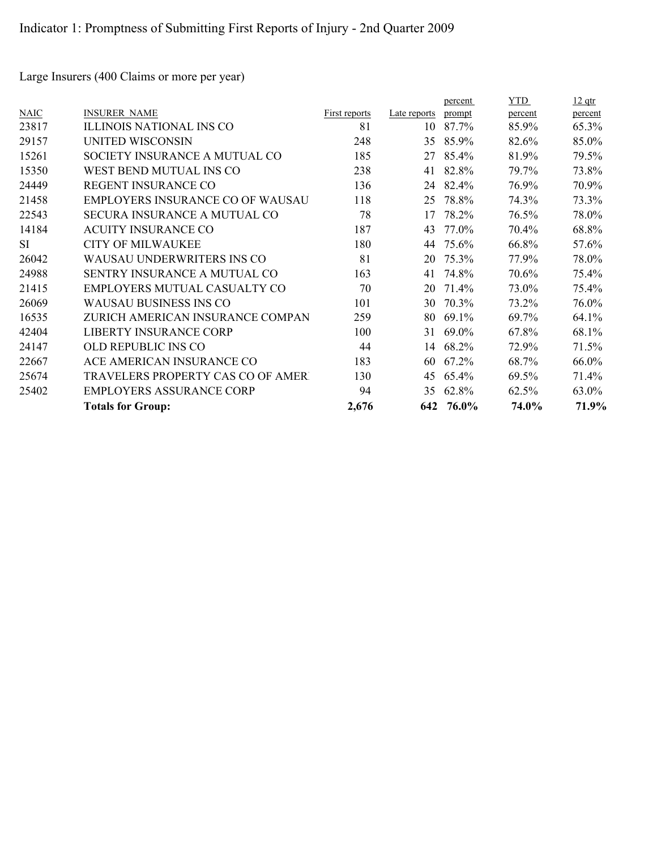Large Insurers (400 Claims or more per year)

|             |                                         |               |              | percent | <b>YTD</b> | $12$ qtr |
|-------------|-----------------------------------------|---------------|--------------|---------|------------|----------|
| <b>NAIC</b> | <b>INSURER NAME</b>                     | First reports | Late reports | prompt  | percent    | percent  |
| 23817       | <b>ILLINOIS NATIONAL INS CO</b>         | 81            | 10           | 87.7%   | 85.9%      | 65.3%    |
| 29157       | UNITED WISCONSIN                        | 248           | 35           | 85.9%   | 82.6%      | 85.0%    |
| 15261       | SOCIETY INSURANCE A MUTUAL CO           | 185           | 27           | 85.4%   | 81.9%      | 79.5%    |
| 15350       | WEST BEND MUTUAL INS CO                 | 238           | 41           | 82.8%   | 79.7%      | 73.8%    |
| 24449       | REGENT INSURANCE CO                     | 136           | 24           | 82.4%   | 76.9%      | 70.9%    |
| 21458       | <b>EMPLOYERS INSURANCE CO OF WAUSAU</b> | 118           | 25           | 78.8%   | 74.3%      | 73.3%    |
| 22543       | SECURA INSURANCE A MUTUAL CO            | 78            | 17           | 78.2%   | 76.5%      | 78.0%    |
| 14184       | <b>ACUITY INSURANCE CO</b>              | 187           | 43           | 77.0%   | 70.4%      | 68.8%    |
| <b>SI</b>   | <b>CITY OF MILWAUKEE</b>                | 180           | 44           | 75.6%   | 66.8%      | 57.6%    |
| 26042       | WAUSAU UNDERWRITERS INS CO              | 81            | 20           | 75.3%   | 77.9%      | 78.0%    |
| 24988       | SENTRY INSURANCE A MUTUAL CO            | 163           | 41           | 74.8%   | 70.6%      | 75.4%    |
| 21415       | EMPLOYERS MUTUAL CASUALTY CO            | 70            | 20           | 71.4%   | 73.0%      | 75.4%    |
| 26069       | <b>WAUSAU BUSINESS INS CO</b>           | 101           | 30           | 70.3%   | 73.2%      | 76.0%    |
| 16535       | ZURICH AMERICAN INSURANCE COMPAN        | 259           | 80           | 69.1%   | 69.7%      | 64.1%    |
| 42404       | <b>LIBERTY INSURANCE CORP</b>           | 100           | 31           | 69.0%   | 67.8%      | 68.1%    |
| 24147       | OLD REPUBLIC INS CO                     | 44            | 14           | 68.2%   | 72.9%      | 71.5%    |
| 22667       | ACE AMERICAN INSURANCE CO               | 183           | 60           | 67.2%   | 68.7%      | 66.0%    |
| 25674       | TRAVELERS PROPERTY CAS CO OF AMERT      | 130           | 45           | 65.4%   | 69.5%      | 71.4%    |
| 25402       | <b>EMPLOYERS ASSURANCE CORP</b>         | 94            | 35           | 62.8%   | 62.5%      | 63.0%    |
|             | <b>Totals for Group:</b>                | 2,676         | 642          | 76.0%   | 74.0%      | 71.9%    |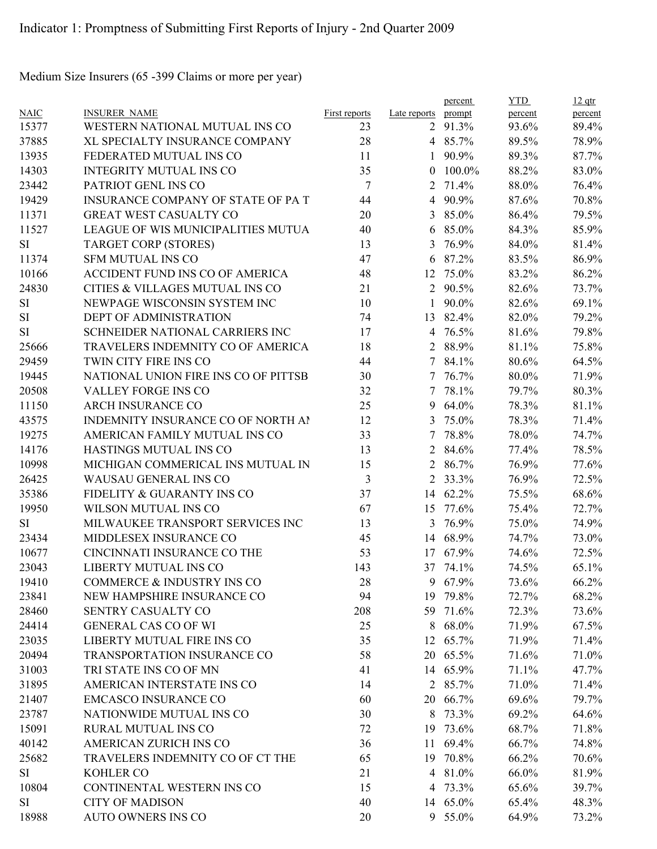Medium Size Insurers (65 -399 Claims or more per year)

|             |                                           |                      |                | percent  | <b>YTD</b> | $12$ qtr |
|-------------|-------------------------------------------|----------------------|----------------|----------|------------|----------|
| <b>NAIC</b> | <b>INSURER NAME</b>                       | <b>First reports</b> | Late reports   | prompt   | percent    | percent  |
| 15377       | WESTERN NATIONAL MUTUAL INS CO            | 23                   |                | 2 91.3%  | 93.6%      | 89.4%    |
| 37885       | XL SPECIALTY INSURANCE COMPANY            | 28                   |                | 4 85.7%  | 89.5%      | 78.9%    |
| 13935       | FEDERATED MUTUAL INS CO                   | 11                   | 1              | 90.9%    | 89.3%      | 87.7%    |
| 14303       | <b>INTEGRITY MUTUAL INS CO</b>            | 35                   | $\theta$       | 100.0%   | 88.2%      | 83.0%    |
| 23442       | PATRIOT GENL INS CO                       | $\overline{7}$       | 2              | 71.4%    | 88.0%      | 76.4%    |
| 19429       | <b>INSURANCE COMPANY OF STATE OF PA T</b> | 44                   | $\overline{4}$ | 90.9%    | 87.6%      | 70.8%    |
| 11371       | GREAT WEST CASUALTY CO                    | 20                   | 3              | 85.0%    | 86.4%      | 79.5%    |
| 11527       | LEAGUE OF WIS MUNICIPALITIES MUTUA        | 40                   | 6              | 85.0%    | 84.3%      | 85.9%    |
| SI          | <b>TARGET CORP (STORES)</b>               | 13                   | 3              | 76.9%    | 84.0%      | 81.4%    |
| 11374       | <b>SFM MUTUAL INS CO</b>                  | 47                   | 6              | 87.2%    | 83.5%      | 86.9%    |
| 10166       | ACCIDENT FUND INS CO OF AMERICA           | 48                   |                | 12 75.0% | 83.2%      | 86.2%    |
| 24830       | CITIES & VILLAGES MUTUAL INS CO           | 21                   | $\overline{2}$ | 90.5%    | 82.6%      | 73.7%    |
| SI          | NEWPAGE WISCONSIN SYSTEM INC              | 10                   | 1              | 90.0%    | 82.6%      | 69.1%    |
| <b>SI</b>   | DEPT OF ADMINISTRATION                    | 74                   | 13             | 82.4%    | 82.0%      | 79.2%    |
| SI          | SCHNEIDER NATIONAL CARRIERS INC           | 17                   | $\overline{4}$ | 76.5%    | 81.6%      | 79.8%    |
| 25666       | TRAVELERS INDEMNITY CO OF AMERICA         | 18                   | $\overline{2}$ | 88.9%    | 81.1%      | 75.8%    |
| 29459       | TWIN CITY FIRE INS CO                     | 44                   | $\tau$         | 84.1%    | 80.6%      | 64.5%    |
| 19445       | NATIONAL UNION FIRE INS CO OF PITTSB      | 30                   |                | 7 76.7%  | 80.0%      | 71.9%    |
| 20508       | VALLEY FORGE INS CO                       | 32                   | $\tau$         | 78.1%    | 79.7%      | 80.3%    |
| 11150       | ARCH INSURANCE CO                         | 25                   | 9              | 64.0%    | 78.3%      | 81.1%    |
| 43575       | INDEMNITY INSURANCE CO OF NORTH AI        | 12                   | 3              | 75.0%    | 78.3%      | 71.4%    |
| 19275       | AMERICAN FAMILY MUTUAL INS CO             | 33                   | 7              | 78.8%    | 78.0%      | 74.7%    |
| 14176       | HASTINGS MUTUAL INS CO                    | 13                   | 2              | 84.6%    | 77.4%      | 78.5%    |
| 10998       | MICHIGAN COMMERICAL INS MUTUAL IN         | 15                   | 2              | 86.7%    | 76.9%      | 77.6%    |
| 26425       | WAUSAU GENERAL INS CO                     | 3                    | $\overline{2}$ | 33.3%    | 76.9%      | 72.5%    |
| 35386       | FIDELITY & GUARANTY INS CO                | 37                   | 14             | 62.2%    | 75.5%      | 68.6%    |
| 19950       | WILSON MUTUAL INS CO                      | 67                   | 15             | 77.6%    | 75.4%      | 72.7%    |
| <b>SI</b>   | MILWAUKEE TRANSPORT SERVICES INC          | 13                   | 3              | 76.9%    | 75.0%      | 74.9%    |
| 23434       | MIDDLESEX INSURANCE CO                    | 45                   | 14             | 68.9%    | 74.7%      | 73.0%    |
| 10677       | CINCINNATI INSURANCE CO THE               | 53                   | 17             | 67.9%    | 74.6%      | 72.5%    |
| 23043       | <b>LIBERTY MUTUAL INS CO</b>              | 143                  |                | 37 74.1% | 74.5%      | 65.1%    |
| 19410       | COMMERCE & INDUSTRY INS CO                | 28                   |                | 9 67.9%  | 73.6%      | 66.2%    |
| 23841       | NEW HAMPSHIRE INSURANCE CO                | 94                   |                | 19 79.8% | 72.7%      | 68.2%    |
| 28460       | SENTRY CASUALTY CO                        | 208                  | 59             | 71.6%    | 72.3%      | 73.6%    |
| 24414       | <b>GENERAL CAS CO OF WI</b>               | 25                   | 8              | 68.0%    | 71.9%      | 67.5%    |
| 23035       | LIBERTY MUTUAL FIRE INS CO                | 35                   |                | 12 65.7% | 71.9%      | 71.4%    |
|             | TRANSPORTATION INSURANCE CO               |                      |                |          |            |          |
| 20494       |                                           | 58                   |                | 20 65.5% | 71.6%      | 71.0%    |
| 31003       | TRI STATE INS CO OF MN                    | 41                   |                | 14 65.9% | 71.1%      | 47.7%    |
| 31895       | AMERICAN INTERSTATE INS CO                | 14                   | 2              | 85.7%    | 71.0%      | 71.4%    |
| 21407       | <b>EMCASCO INSURANCE CO</b>               | 60                   | 20             | 66.7%    | 69.6%      | 79.7%    |
| 23787       | NATIONWIDE MUTUAL INS CO                  | 30                   | 8              | 73.3%    | 69.2%      | 64.6%    |
| 15091       | RURAL MUTUAL INS CO                       | 72                   |                | 19 73.6% | 68.7%      | 71.8%    |
| 40142       | AMERICAN ZURICH INS CO                    | 36                   | 11             | 69.4%    | 66.7%      | 74.8%    |
| 25682       | TRAVELERS INDEMNITY CO OF CT THE          | 65                   | 19             | 70.8%    | 66.2%      | 70.6%    |
| SI          | KOHLER CO                                 | 21                   | 4              | 81.0%    | 66.0%      | 81.9%    |
| 10804       | CONTINENTAL WESTERN INS CO                | 15                   |                | 4 73.3%  | 65.6%      | 39.7%    |
| SI          | <b>CITY OF MADISON</b>                    | 40                   |                | 14 65.0% | 65.4%      | 48.3%    |
| 18988       | <b>AUTO OWNERS INS CO</b>                 | 20                   |                | 9 55.0%  | 64.9%      | 73.2%    |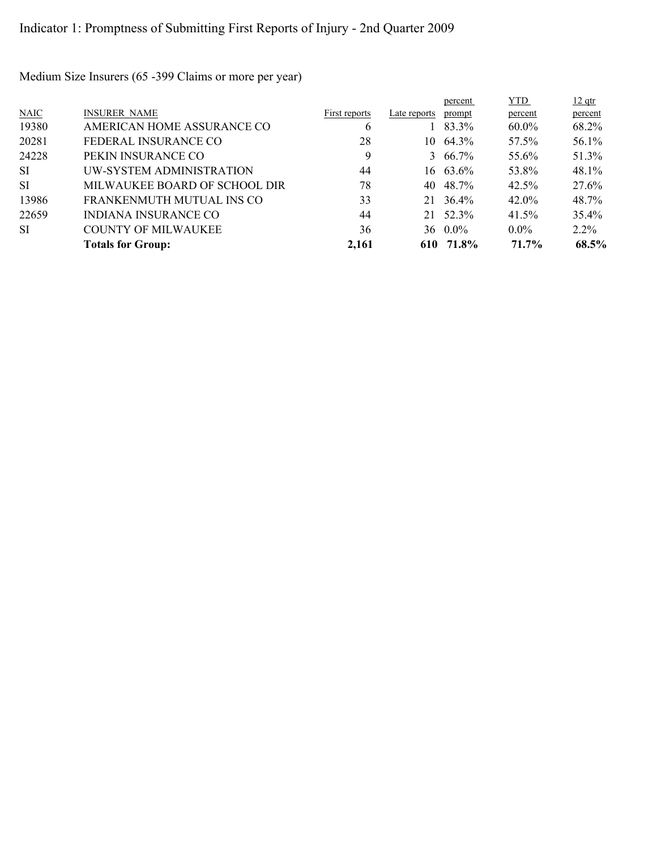Medium Size Insurers (65 -399 Claims or more per year)

|           |                               |               |              | percent          | <b>YTD</b> | $12$ qtr |
|-----------|-------------------------------|---------------|--------------|------------------|------------|----------|
| N AIC     | <b>INSURER NAME</b>           | First reports | Late reports | prompt           | percent    | percent  |
| 19380     | AMERICAN HOME ASSURANCE CO    | 6             |              | $183.3\%$        | $60.0\%$   | 68.2%    |
| 20281     | FEDERAL INSURANCE CO          | 28            | 10-          | 64.3%            | 57.5%      | 56.1%    |
| 24228     | PEKIN INSURANCE CO            | 9             |              | $3\quad 66.7\%$  | 55.6%      | 51.3%    |
| <b>SI</b> | UW-SYSTEM ADMINISTRATION      | 44            |              | 16 63.6%         | 53.8%      | 48.1%    |
| <b>SI</b> | MILWAUKEE BOARD OF SCHOOL DIR | 78            | 40           | 48.7%            | 42.5%      | 27.6%    |
| 13986     | FRANKENMUTH MUTUAL INS CO     | 33            |              | 21 36.4%         | 42.0%      | 48.7%    |
| 22659     | INDIANA INSURANCE CO          | 44            |              | 21 52.3%         | $41.5\%$   | 35.4%    |
| SI.       | <b>COUNTY OF MILWAUKEE</b>    | 36            |              | $36 \quad 0.0\%$ | $0.0\%$    | $2.2\%$  |
|           | <b>Totals for Group:</b>      | 2,161         |              | 610 71.8%        | 71.7%      | 68.5%    |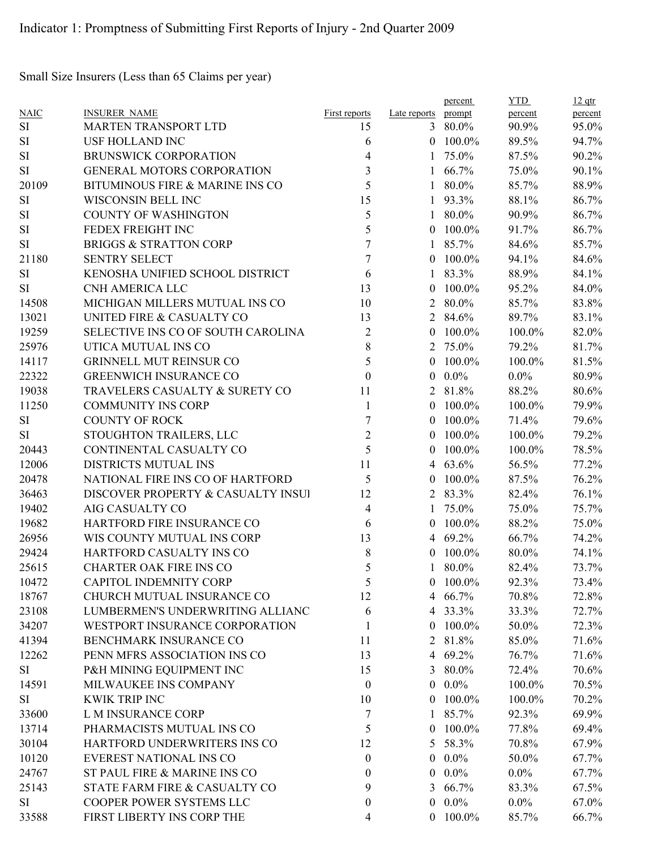Small Size Insurers (Less than 65 Claims per year)

|             |                                    |                  |                     | percent    | <b>YTD</b> | $12$ qtr |
|-------------|------------------------------------|------------------|---------------------|------------|------------|----------|
| <b>NAIC</b> | <b>INSURER NAME</b>                | First reports    | Late reports prompt |            | percent    | percent  |
| $\rm SI$    | <b>MARTEN TRANSPORT LTD</b>        | 15               |                     | 3 80.0%    | 90.9%      | 95.0%    |
| SI          | <b>USF HOLLAND INC</b>             | 6                | $\theta$            | 100.0%     | 89.5%      | 94.7%    |
| $\rm SI$    | <b>BRUNSWICK CORPORATION</b>       | 4                | 1                   | 75.0%      | 87.5%      | 90.2%    |
| SI          | <b>GENERAL MOTORS CORPORATION</b>  | 3                | $\mathbf{1}$        | 66.7%      | 75.0%      | 90.1%    |
| 20109       | BITUMINOUS FIRE & MARINE INS CO    | 5                | $\mathbf{1}$        | 80.0%      | 85.7%      | 88.9%    |
| $\rm SI$    | WISCONSIN BELL INC                 | 15               | 1                   | 93.3%      | 88.1%      | 86.7%    |
| SI          | <b>COUNTY OF WASHINGTON</b>        | 5                | 1                   | 80.0%      | 90.9%      | 86.7%    |
| SI          | FEDEX FREIGHT INC                  | 5                | $\theta$            | 100.0%     | 91.7%      | 86.7%    |
| <b>SI</b>   | <b>BRIGGS &amp; STRATTON CORP</b>  | $\overline{7}$   | $\mathbf{1}$        | 85.7%      | 84.6%      | 85.7%    |
| 21180       | <b>SENTRY SELECT</b>               | $\tau$           | $\theta$            | 100.0%     | 94.1%      | 84.6%    |
| $\rm SI$    | KENOSHA UNIFIED SCHOOL DISTRICT    | 6                | $\mathbf{1}$        | 83.3%      | 88.9%      | 84.1%    |
| SI          | CNH AMERICA LLC                    | 13               | $\boldsymbol{0}$    | 100.0%     | 95.2%      | 84.0%    |
| 14508       | MICHIGAN MILLERS MUTUAL INS CO     | 10               | $\overline{2}$      | 80.0%      | 85.7%      | 83.8%    |
| 13021       | UNITED FIRE & CASUALTY CO          | 13               | $\overline{2}$      | 84.6%      | 89.7%      | 83.1%    |
| 19259       | SELECTIVE INS CO OF SOUTH CAROLINA | $\boldsymbol{2}$ | $\theta$            | 100.0%     | 100.0%     | 82.0%    |
| 25976       | UTICA MUTUAL INS CO                | 8                | 2                   | 75.0%      | 79.2%      | 81.7%    |
| 14117       | <b>GRINNELL MUT REINSUR CO</b>     | 5                | $\theta$            | 100.0%     | 100.0%     | 81.5%    |
| 22322       | <b>GREENWICH INSURANCE CO</b>      | $\boldsymbol{0}$ | $\mathbf{0}$        | $0.0\%$    | $0.0\%$    | 80.9%    |
| 19038       | TRAVELERS CASUALTY & SURETY CO     | 11               | $\overline{2}$      | 81.8%      | 88.2%      | 80.6%    |
| 11250       | <b>COMMUNITY INS CORP</b>          | $\mathbf{1}$     | $\theta$            | 100.0%     | 100.0%     | 79.9%    |
| SI          | <b>COUNTY OF ROCK</b>              | $\sqrt{ }$       | $\overline{0}$      | 100.0%     | 71.4%      | 79.6%    |
| SI          | STOUGHTON TRAILERS, LLC            | $\mathfrak{2}$   | $\theta$            | 100.0%     | 100.0%     | 79.2%    |
| 20443       | CONTINENTAL CASUALTY CO            | 5                | $\theta$            | 100.0%     | 100.0%     | 78.5%    |
| 12006       | DISTRICTS MUTUAL INS               | 11               | 4                   | 63.6%      | 56.5%      | 77.2%    |
| 20478       | NATIONAL FIRE INS CO OF HARTFORD   | 5                | $\overline{0}$      | 100.0%     | 87.5%      | 76.2%    |
| 36463       | DISCOVER PROPERTY & CASUALTY INSUI | 12               | 2                   | 83.3%      | 82.4%      | 76.1%    |
| 19402       | AIG CASUALTY CO                    | $\overline{4}$   | 1                   | 75.0%      | 75.0%      | 75.7%    |
| 19682       | HARTFORD FIRE INSURANCE CO         | 6                | $\theta$            | 100.0%     | 88.2%      | 75.0%    |
| 26956       | WIS COUNTY MUTUAL INS CORP         | 13               | 4                   | 69.2%      | 66.7%      | 74.2%    |
| 29424       | HARTFORD CASUALTY INS CO           | $8\phantom{1}$   | $\theta$            | 100.0%     | 80.0%      | 74.1%    |
| 25615       | <b>CHARTER OAK FIRE INS CO</b>     | 5                | 1                   | 80.0%      | 82.4%      | 73.7%    |
| 10472       | CAPITOL INDEMNITY CORP             | 5                | $\theta$            | 100.0%     | 92.3%      | 73.4%    |
| 18767       | CHURCH MUTUAL INSURANCE CO         | 12               |                     | 4 66.7%    | 70.8%      | 72.8%    |
| 23108       | LUMBERMEN'S UNDERWRITING ALLIANC   | 6                |                     | 4 33.3%    | 33.3%      | 72.7%    |
| 34207       | WESTPORT INSURANCE CORPORATION     |                  | $\overline{0}$      | 100.0%     |            |          |
|             | BENCHMARK INSURANCE CO             | 1                |                     |            | 50.0%      | 72.3%    |
| 41394       |                                    | 11               |                     | 2 81.8%    | 85.0%      | 71.6%    |
| 12262       | PENN MFRS ASSOCIATION INS CO       | 13               |                     | 4 69.2%    | 76.7%      | 71.6%    |
| SI          | P&H MINING EQUIPMENT INC           | 15               | 3                   | 80.0%      | 72.4%      | 70.6%    |
| 14591       | MILWAUKEE INS COMPANY              | $\boldsymbol{0}$ | $\overline{0}$      | $0.0\%$    | 100.0%     | 70.5%    |
| SI          | <b>KWIK TRIP INC</b>               | 10               | $\overline{0}$      | 100.0%     | 100.0%     | 70.2%    |
| 33600       | L M INSURANCE CORP                 | 7                | $\mathbf{1}$        | 85.7%      | 92.3%      | 69.9%    |
| 13714       | PHARMACISTS MUTUAL INS CO          | 5                | $\overline{0}$      | 100.0%     | 77.8%      | 69.4%    |
| 30104       | HARTFORD UNDERWRITERS INS CO       | 12               | 5                   | 58.3%      | 70.8%      | 67.9%    |
| 10120       | EVEREST NATIONAL INS CO            | $\boldsymbol{0}$ | $\overline{0}$      | $0.0\%$    | 50.0%      | 67.7%    |
| 24767       | ST PAUL FIRE & MARINE INS CO       | $\theta$         | $\overline{0}$      | $0.0\%$    | $0.0\%$    | 67.7%    |
| 25143       | STATE FARM FIRE & CASUALTY CO      | 9                | 3                   | 66.7%      | 83.3%      | 67.5%    |
| SI          | COOPER POWER SYSTEMS LLC           | $\boldsymbol{0}$ | $\overline{0}$      | $0.0\%$    | $0.0\%$    | 67.0%    |
| 33588       | FIRST LIBERTY INS CORP THE         | 4                |                     | $0$ 100.0% | 85.7%      | 66.7%    |